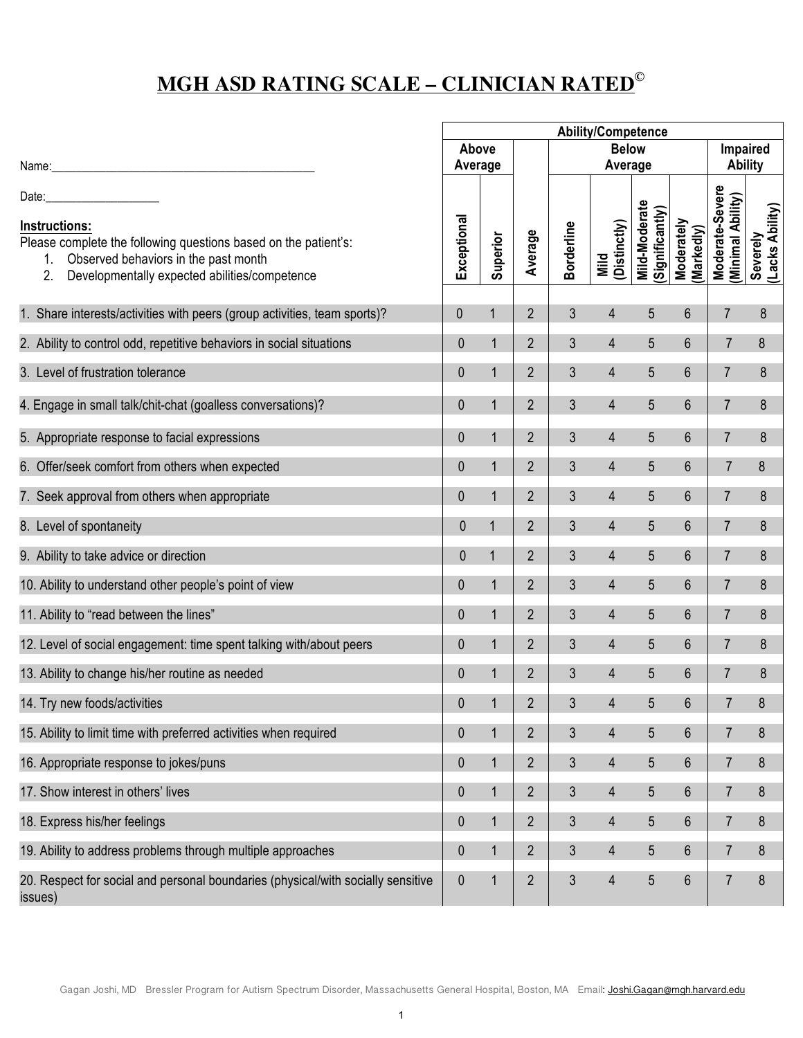## **MGH ASD RATING SCALE – CLINICIAN RATED©**

|                                                                                                                                                                                          | <b>Ability/Competence</b> |              |                |                         |                      |                                 |                          |                                      |                             |
|------------------------------------------------------------------------------------------------------------------------------------------------------------------------------------------|---------------------------|--------------|----------------|-------------------------|----------------------|---------------------------------|--------------------------|--------------------------------------|-----------------------------|
|                                                                                                                                                                                          | Above<br>Average          |              |                | <b>Below</b><br>Average |                      |                                 |                          | Impaired<br><b>Ability</b>           |                             |
| Date:<br>Instructions:<br>Please complete the following questions based on the patient's:<br>Observed behaviors in the past month<br>2.<br>Developmentally expected abilities/competence | Exceptional               | Superior     | Average        | <b>Borderline</b>       | (Distinctly)<br>Mild | Mild-Moderate<br>Significantly) | Moderately<br>(Markedly) | Moderate-Severe<br>(Minimal Ability) | Severely<br>(Lacks Ability) |
| 1. Share interests/activities with peers (group activities, team sports)?                                                                                                                | 0                         | $\mathbf{1}$ | $\overline{2}$ | 3                       | 4                    | 5                               | $6\phantom{.}$           | $\overline{7}$                       | 8                           |
| 2. Ability to control odd, repetitive behaviors in social situations                                                                                                                     | $\boldsymbol{0}$          | $\mathbf 1$  | $\overline{2}$ | 3                       | $\overline{4}$       | 5                               | 6                        | $\overline{7}$                       | 8                           |
| 3. Level of frustration tolerance                                                                                                                                                        | $\mathbf 0$               | $\mathbf{1}$ | $\overline{2}$ | 3                       | $\overline{4}$       | 5                               | 6                        | $\overline{7}$                       | 8                           |
| 4. Engage in small talk/chit-chat (goalless conversations)?                                                                                                                              | $\mathbf 0$               | $\mathbf{1}$ | $\overline{2}$ | 3                       | $\overline{4}$       | 5                               | 6                        | $\overline{7}$                       | 8                           |
| 5. Appropriate response to facial expressions                                                                                                                                            | $\mathbf 0$               | $\mathbf{1}$ | $\overline{2}$ | 3                       | $\overline{4}$       | 5                               | 6                        | $\overline{7}$                       | 8                           |
| 6. Offer/seek comfort from others when expected                                                                                                                                          | $\mathbf 0$               | $\mathbf{1}$ | $\overline{2}$ | 3                       | $\overline{4}$       | 5                               | 6                        | $\overline{7}$                       | 8                           |
| 7. Seek approval from others when appropriate                                                                                                                                            | $\mathbf{0}$              | $\mathbf{1}$ | $\overline{2}$ | 3                       | $\overline{4}$       | 5                               | 6                        | $\overline{7}$                       | 8                           |
| 8. Level of spontaneity                                                                                                                                                                  | 0                         | $\mathbf{1}$ | $\overline{2}$ | 3                       | $\overline{4}$       | 5                               | 6                        | $\overline{7}$                       | 8                           |
| 9. Ability to take advice or direction                                                                                                                                                   | 0                         | $\mathbf{1}$ | $\overline{2}$ | 3                       | $\overline{4}$       | 5                               | 6                        | $\overline{7}$                       | 8                           |
| 10. Ability to understand other people's point of view                                                                                                                                   | $\mathbf 0$               | $\mathbf{1}$ | $\overline{2}$ | 3                       | $\overline{4}$       | 5                               | 6                        | $\overline{7}$                       | 8                           |
| 11. Ability to "read between the lines"                                                                                                                                                  | $\mathbf 0$               | $\mathbf{1}$ | $\overline{2}$ | 3                       | $\overline{4}$       | 5                               | 6                        | $\overline{7}$                       | 8                           |
| 12. Level of social engagement: time spent talking with/about peers                                                                                                                      | $\mathbf 0$               | $\mathbf{1}$ | $\overline{2}$ | 3                       | $\overline{4}$       | 5                               | $6\phantom{.}$           | $\overline{7}$                       | 8                           |
| 13. Ability to change his/her routine as needed                                                                                                                                          | $\mathbf 0$               | $\mathbf{1}$ | $\overline{2}$ | 3                       | $\overline{4}$       | 5                               | 6                        | $\overline{7}$                       | $\boldsymbol{8}$            |
| 14. Try new foods/activities                                                                                                                                                             | $\pmb{0}$                 | 1            | $\overline{2}$ | 3                       | 4                    | 5                               | 6                        | $\overline{7}$                       | 8                           |
| 15. Ability to limit time with preferred activities when required                                                                                                                        | $\mathbf 0$               | $\mathbf{1}$ | $\overline{2}$ | 3                       | $\overline{4}$       | 5                               | 6                        | $\overline{7}$                       | 8                           |
| 16. Appropriate response to jokes/puns                                                                                                                                                   | $\mathbf 0$               | $\mathbf{1}$ | $\overline{2}$ | 3                       | $\overline{4}$       | 5                               | $6\phantom{.}$           | $\overline{7}$                       | 8                           |
| 17. Show interest in others' lives                                                                                                                                                       | $\mathbf 0$               | $\mathbf{1}$ | $\overline{2}$ | 3                       | $\overline{4}$       | 5                               | 6                        | $\overline{7}$                       | 8                           |
| 18. Express his/her feelings                                                                                                                                                             | $\pmb{0}$                 | $\mathbf{1}$ | $\overline{2}$ | 3                       | $\overline{4}$       | 5                               | 6                        | $\overline{7}$                       | 8                           |
| 19. Ability to address problems through multiple approaches                                                                                                                              | 0                         | $\mathbf 1$  | $\overline{2}$ | 3                       | $\overline{4}$       | 5                               | 6                        | $\overline{7}$                       | 8                           |
| 20. Respect for social and personal boundaries (physical/with socially sensitive<br>issues)                                                                                              | $\pmb{0}$                 | $\mathbf 1$  | $\overline{2}$ | 3                       | $\overline{4}$       | 5                               | $6\,$                    | $\overline{7}$                       | 8                           |